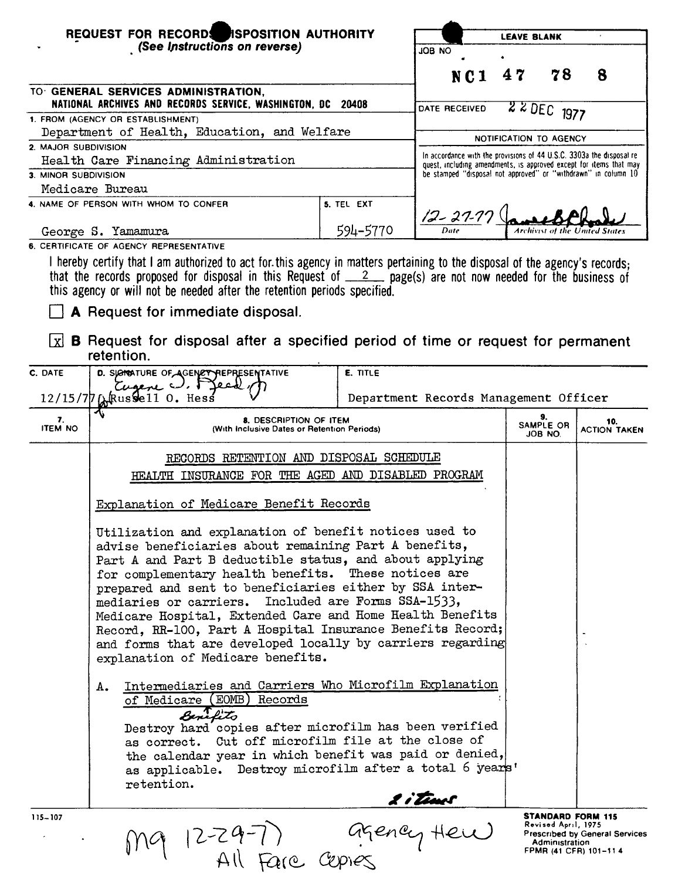| REQUEST FOR RECORDS ISPOSITION AUTHORITY                     |                                                                                                                                                                                                                                                                                                                                                                                                                                                                                                                                                                                                                                                                                                                                                      |                                                                   | <b>LEAVE BLANK</b>                                                                                                                          |              |                            |  |
|--------------------------------------------------------------|------------------------------------------------------------------------------------------------------------------------------------------------------------------------------------------------------------------------------------------------------------------------------------------------------------------------------------------------------------------------------------------------------------------------------------------------------------------------------------------------------------------------------------------------------------------------------------------------------------------------------------------------------------------------------------------------------------------------------------------------------|-------------------------------------------------------------------|---------------------------------------------------------------------------------------------------------------------------------------------|--------------|----------------------------|--|
|                                                              | (See Instructions on reverse)                                                                                                                                                                                                                                                                                                                                                                                                                                                                                                                                                                                                                                                                                                                        |                                                                   | ON BOL                                                                                                                                      |              |                            |  |
|                                                              |                                                                                                                                                                                                                                                                                                                                                                                                                                                                                                                                                                                                                                                                                                                                                      |                                                                   | NC <sub>1</sub>                                                                                                                             | 78<br>47     | 8                          |  |
| TO GENERAL SERVICES ADMINISTRATION,                          |                                                                                                                                                                                                                                                                                                                                                                                                                                                                                                                                                                                                                                                                                                                                                      |                                                                   |                                                                                                                                             |              |                            |  |
|                                                              | NATIONAL ARCHIVES AND RECORDS SERVICE, WASHINGTON, DC 20408                                                                                                                                                                                                                                                                                                                                                                                                                                                                                                                                                                                                                                                                                          |                                                                   | DATE RECEIVED                                                                                                                               | $220EC$ 1977 |                            |  |
|                                                              | 1. FROM (AGENCY OR ESTABLISHMENT)                                                                                                                                                                                                                                                                                                                                                                                                                                                                                                                                                                                                                                                                                                                    |                                                                   |                                                                                                                                             |              |                            |  |
| Department of Health, Education, and Welfare                 |                                                                                                                                                                                                                                                                                                                                                                                                                                                                                                                                                                                                                                                                                                                                                      |                                                                   | NOTIFICATION TO AGENCY                                                                                                                      |              |                            |  |
| 2. MAJOR SUBDIVISION<br>Health Care Financing Administration |                                                                                                                                                                                                                                                                                                                                                                                                                                                                                                                                                                                                                                                                                                                                                      |                                                                   | In accordance with the provisions of 44 U.S.C. 3303a the disposal re-<br>quest, including amendments, is approved except for items that may |              |                            |  |
| 3. MINOR SUBDIVISION                                         |                                                                                                                                                                                                                                                                                                                                                                                                                                                                                                                                                                                                                                                                                                                                                      |                                                                   | be stamped "disposal not approved" or "withdrawn" in column 10                                                                              |              |                            |  |
|                                                              | Medicare Bureau                                                                                                                                                                                                                                                                                                                                                                                                                                                                                                                                                                                                                                                                                                                                      |                                                                   |                                                                                                                                             |              |                            |  |
|                                                              | 4. NAME OF PERSON WITH WHOM TO CONFER                                                                                                                                                                                                                                                                                                                                                                                                                                                                                                                                                                                                                                                                                                                | 5. TEL EXT                                                        |                                                                                                                                             |              |                            |  |
|                                                              | George S. Yamamura                                                                                                                                                                                                                                                                                                                                                                                                                                                                                                                                                                                                                                                                                                                                   | 594-5770                                                          | $12 - 27 - 77$                                                                                                                              | Archivut of  |                            |  |
|                                                              | 6. CERTIFICATE OF AGENCY REPRESENTATIVE                                                                                                                                                                                                                                                                                                                                                                                                                                                                                                                                                                                                                                                                                                              |                                                                   |                                                                                                                                             |              |                            |  |
| l xl                                                         | I hereby certify that I am authorized to act for this agency in matters pertaining to the disposal of the agency's records:<br>that the records proposed for disposal in this Request of $2$ page(s) are not now needed for the business of<br>this agency or will not be needed after the retention periods specified.<br>A Request for immediate disposal.<br><b>B</b> Request for disposal after a specified period of time or request for permanent                                                                                                                                                                                                                                                                                              |                                                                   |                                                                                                                                             |              |                            |  |
|                                                              | retention.                                                                                                                                                                                                                                                                                                                                                                                                                                                                                                                                                                                                                                                                                                                                           |                                                                   |                                                                                                                                             |              |                            |  |
| C. DATE                                                      | D. SJONNATURE OF AGENET REPRESENTATIVE                                                                                                                                                                                                                                                                                                                                                                                                                                                                                                                                                                                                                                                                                                               | E. TITLE                                                          |                                                                                                                                             |              |                            |  |
|                                                              | Cugene $\cup$ , $\Gamma$<br>$12/15/77$ $\alpha$ Russe 11 0. Hess                                                                                                                                                                                                                                                                                                                                                                                                                                                                                                                                                                                                                                                                                     |                                                                   | Department Records Management Officer                                                                                                       |              |                            |  |
| 7.<br><b>ITEM NO</b>                                         | 8. DESCRIPTION OF ITEM<br>(With Inclusive Dates or Retention Periods)                                                                                                                                                                                                                                                                                                                                                                                                                                                                                                                                                                                                                                                                                |                                                                   |                                                                                                                                             |              | 10.<br><b>ACTION TAKEN</b> |  |
|                                                              | RECORDS RETENTION AND DISPOSAL SCHEDULE                                                                                                                                                                                                                                                                                                                                                                                                                                                                                                                                                                                                                                                                                                              |                                                                   |                                                                                                                                             |              |                            |  |
|                                                              | HEALTH INSURANCE FOR THE AGED AND DISABLED PROGRAM                                                                                                                                                                                                                                                                                                                                                                                                                                                                                                                                                                                                                                                                                                   |                                                                   |                                                                                                                                             |              |                            |  |
|                                                              | Explanation of Medicare Benefit Records                                                                                                                                                                                                                                                                                                                                                                                                                                                                                                                                                                                                                                                                                                              |                                                                   |                                                                                                                                             |              |                            |  |
|                                                              | Utilization and explanation of benefit notices used to<br>advise beneficiaries about remaining Part A benefits,<br>Part A and Part B deductible status, and about applying<br>for complementary health benefits. These notices are<br>prepared and sent to beneficiaries either by SSA inter-<br>mediaries or carriers. Included are Forms SSA-1533,<br>Medicare Hospital, Extended Care and Home Health Benefits<br>Record, RR-100, Part A Hospital Insurance Benefits Record;<br>and forms that are developed locally by carriers regarding<br>explanation of Medicare benefits.<br>Intermediaries and Carriers Who Microfilm Explanation<br>А.<br>of Medicare (EOMB) Records<br>Benefito<br>Destroy hard copies after microfilm has been verified |                                                                   |                                                                                                                                             |              |                            |  |
| 115-107                                                      | as correct. Cut off microfilm file at the close of<br>the calendar year in which benefit was paid or denied,<br>as applicable. Destroy microfilm after a total 6 years'<br>retention.<br>M9 12-29-7) agency Hew                                                                                                                                                                                                                                                                                                                                                                                                                                                                                                                                      | <b>STANDARD FORM 115</b><br>Revised April, 1975<br>Administration | <b>Prescribed by General Services</b>                                                                                                       |              |                            |  |
|                                                              |                                                                                                                                                                                                                                                                                                                                                                                                                                                                                                                                                                                                                                                                                                                                                      |                                                                   |                                                                                                                                             |              | FPMR (41 CFR) 101-114      |  |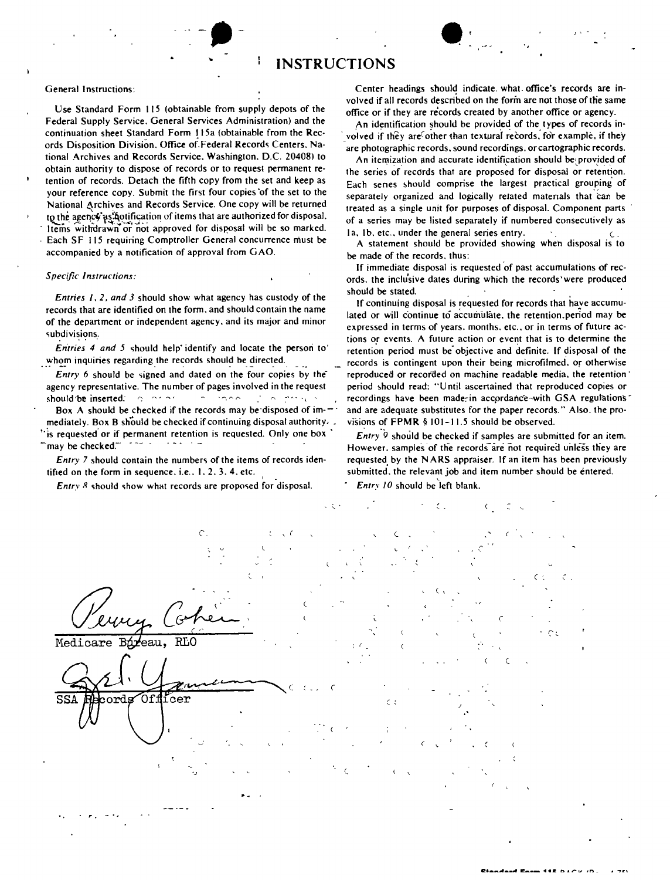## **-.** " **INSTRUCTIONS**

Federal Supply Service. General Services Administration) and the continuation sheet Standard Form !15a (obtainable from the Records Disposition Division. Office of. Federal Records Centers. Na· tional Archives and Records Service. Washington. D.C. 20408) to obtain authority to dispose of records or to request permanent retention of records. Detach the fifth copy from the set and keep as your reference copy. Submit the first four copies 'of the set to the National Archives and Records Service. One copy will be returned to the agency as hotification of items that are authorized for disposal. Items withdrawn or not approved for disposal will be so marked. Each SF 115 requiring Comptroller General concurrence must be accompanied by a notification of approval from GAO.

## *Specific Instructions:*

*Entries I,* 2, *and* 3 should show what agency has custody of the records that are identified on the form. and should contain the name of the department or independent agency. and its major and minor subdivisions.

*Entries* 4 and 5 should help' identify and locate the person to' whom inquiries regarding the records should be directed.

*Entry* 6 should be signed and dated on the four copies by the' agency representative. The number of pages involved in the request should 'be inserted: *r-; '" ~, .~, ~ " '" -'''', '*

Box A should be checked if the records may be disposed of im- $\pm$ : mediately. Box B should be checked if continuing disposal authority.  $\overline{\phantom{a}}$ . "is requested' or if permanent retention is requested. Only one box'  $\hat{\ }$ may be checked.'''

*Entry* 7 should contain the numbers of the items of records identified on the form in sequence, i.e.,  $1, 2, 3, 4$ , etc.

*Entry R* should show what records are proposed for disposal.

General Instructions: Center headings should indicate. what. office's records are involved if all records described on the form are not those of the same<br>Use Standard Form 115 (obtainable from supply depots of the office or if they are records created by apother office or agency office or if they are records created by another office or agency.

•

An identification should be provided of the types of records in volved if they are other than textural records, for example, if they 'are photographic records. sound recordings. or cartographic records.

An itemization and accurate identification should be provided of the series of records that are proposed for disposal or retention. Each senes should comprise the largest practical grouping of separately organized and logically related matenals that can be treated as a single unit for purposes of disposal. Component parts of a series may be listed separately if numbered consecutively as  $1a$ ,  $1b$ , etc., under the general series entry.

A statement should be provided showing when disposal is to be made of the records. thus:

If immediate disposal is requested of past accumulations of records. the inclusive dates during which the records' were produced should be stated.

If continuing disposal is requested for records that have accumulated or will continue to accumulate. the retention.period may be expressed in terms of years. months. etc., or in terms of future actions or events. A future action or event that is to determine the retention period must be' objective and definite. If disposal of the records is contingent upon their being microfilmed, or otherwise reproduced or recorded on machine readable media. the retention' period should read: "Until ascertained that reproduced copies or recordings have been made-in accordance-with GSA regulations' and are adequate substitutes for the paper records." Also. the provisions of FPMR § 101-11.5 should be observed.

*Entry*<sup>9</sup> should be checked if samples are submitted for an item. However. samples of the records are not required unless they are requested by the NARS appraiser. If an item has been previously submitted. the relevant job and item number should be entered.

*Entry 10* should be'left blank.

,~ c. c.  $\epsilon \in$ ( .  $\overline{\text{RLO}}$ Medicare : ( (  $\epsilon$ **SSA** cords Of 1  $_{\rm{icer}}$ *. r. \_. ~*